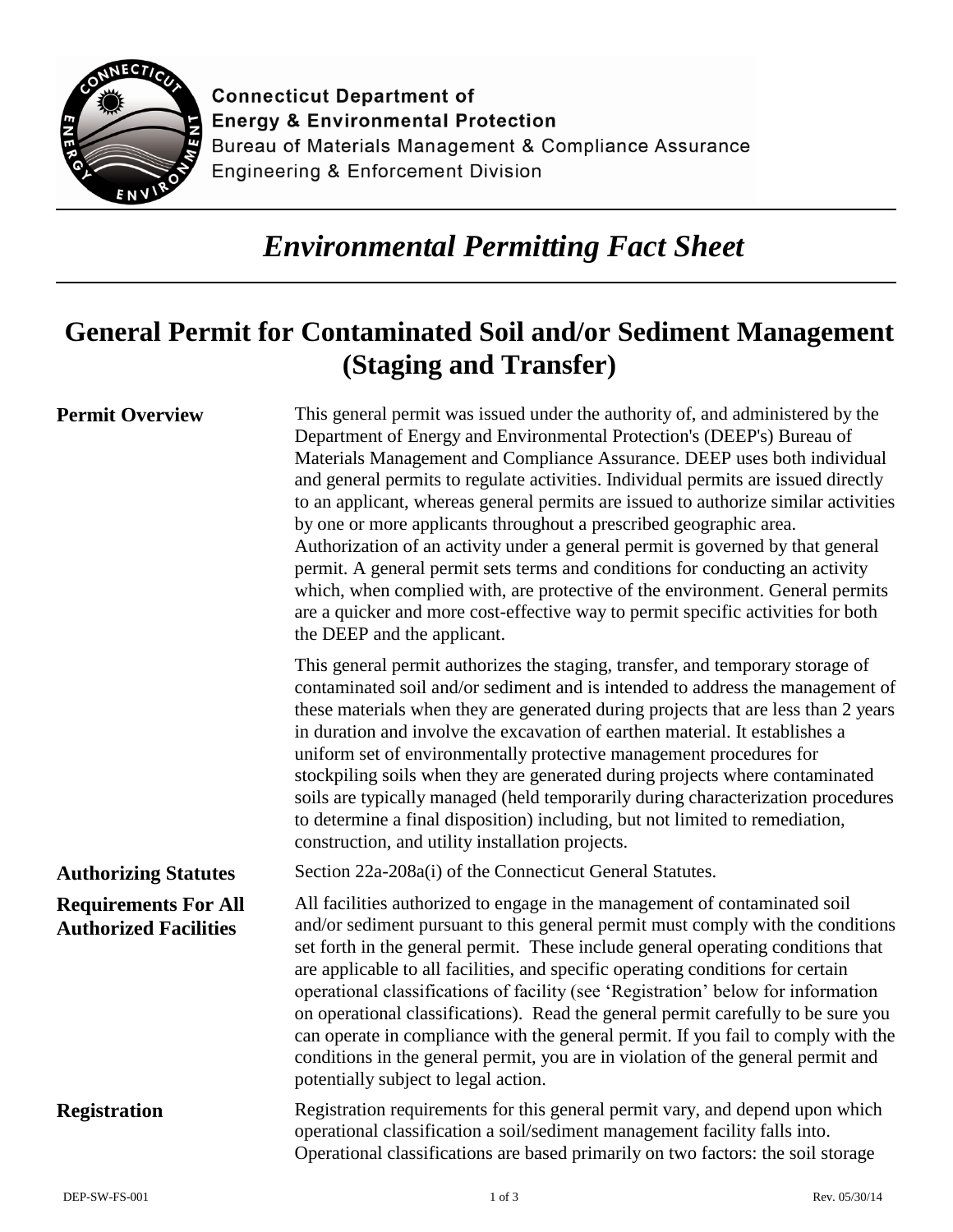

**Connecticut Department of Energy & Environmental Protection** Bureau of Materials Management & Compliance Assurance **Engineering & Enforcement Division** 

## *Environmental Permitting Fact Sheet*

## **General Permit for Contaminated Soil and/or Sediment Management (Staging and Transfer)**

| <b>Permit Overview</b>                                      | This general permit was issued under the authority of, and administered by the<br>Department of Energy and Environmental Protection's (DEEP's) Bureau of<br>Materials Management and Compliance Assurance. DEEP uses both individual<br>and general permits to regulate activities. Individual permits are issued directly<br>to an applicant, whereas general permits are issued to authorize similar activities<br>by one or more applicants throughout a prescribed geographic area.<br>Authorization of an activity under a general permit is governed by that general<br>permit. A general permit sets terms and conditions for conducting an activity<br>which, when complied with, are protective of the environment. General permits<br>are a quicker and more cost-effective way to permit specific activities for both<br>the DEEP and the applicant. |
|-------------------------------------------------------------|-----------------------------------------------------------------------------------------------------------------------------------------------------------------------------------------------------------------------------------------------------------------------------------------------------------------------------------------------------------------------------------------------------------------------------------------------------------------------------------------------------------------------------------------------------------------------------------------------------------------------------------------------------------------------------------------------------------------------------------------------------------------------------------------------------------------------------------------------------------------|
|                                                             | This general permit authorizes the staging, transfer, and temporary storage of<br>contaminated soil and/or sediment and is intended to address the management of<br>these materials when they are generated during projects that are less than 2 years<br>in duration and involve the excavation of earthen material. It establishes a<br>uniform set of environmentally protective management procedures for<br>stockpiling soils when they are generated during projects where contaminated<br>soils are typically managed (held temporarily during characterization procedures<br>to determine a final disposition) including, but not limited to remediation,<br>construction, and utility installation projects.                                                                                                                                           |
| <b>Authorizing Statutes</b>                                 | Section 22a-208a(i) of the Connecticut General Statutes.                                                                                                                                                                                                                                                                                                                                                                                                                                                                                                                                                                                                                                                                                                                                                                                                        |
| <b>Requirements For All</b><br><b>Authorized Facilities</b> | All facilities authorized to engage in the management of contaminated soil<br>and/or sediment pursuant to this general permit must comply with the conditions<br>set forth in the general permit. These include general operating conditions that<br>are applicable to all facilities, and specific operating conditions for certain<br>operational classifications of facility (see 'Registration' below for information<br>on operational classifications). Read the general permit carefully to be sure you<br>can operate in compliance with the general permit. If you fail to comply with the<br>conditions in the general permit, you are in violation of the general permit and<br>potentially subject to legal action.                                                                                                                                 |
| <b>Registration</b>                                         | Registration requirements for this general permit vary, and depend upon which<br>operational classification a soil/sediment management facility falls into.<br>Operational classifications are based primarily on two factors: the soil storage                                                                                                                                                                                                                                                                                                                                                                                                                                                                                                                                                                                                                 |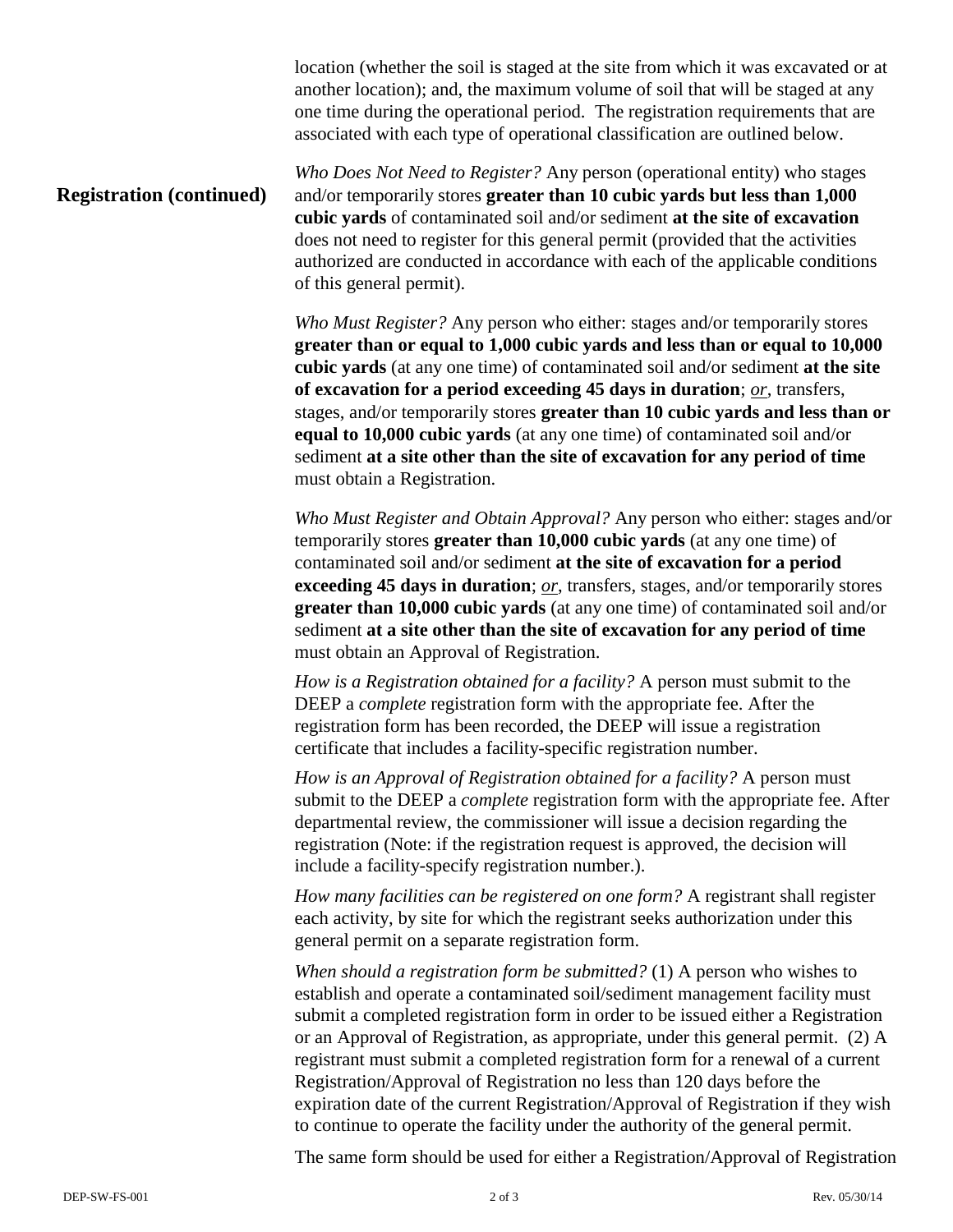location (whether the soil is staged at the site from which it was excavated or at another location); and, the maximum volume of soil that will be staged at any one time during the operational period. The registration requirements that are associated with each type of operational classification are outlined below.

## **Registration (continued)** *Who Does Not Need to Register?* Any person (operational entity) who stages and/or temporarily stores **greater than 10 cubic yards but less than 1,000 cubic yards** of contaminated soil and/or sediment **at the site of excavation** does not need to register for this general permit (provided that the activities authorized are conducted in accordance with each of the applicable conditions of this general permit).

*Who Must Register?* Any person who either: stages and/or temporarily stores **greater than or equal to 1,000 cubic yards and less than or equal to 10,000 cubic yards** (at any one time) of contaminated soil and/or sediment **at the site of excavation for a period exceeding 45 days in duration**; *or*, transfers, stages, and/or temporarily stores **greater than 10 cubic yards and less than or equal to 10,000 cubic yards** (at any one time) of contaminated soil and/or sediment **at a site other than the site of excavation for any period of time**  must obtain a Registration.

*Who Must Register and Obtain Approval?* Any person who either: stages and/or temporarily stores **greater than 10,000 cubic yards** (at any one time) of contaminated soil and/or sediment **at the site of excavation for a period exceeding 45 days in duration**; *or*, transfers, stages, and/or temporarily stores **greater than 10,000 cubic yards** (at any one time) of contaminated soil and/or sediment **at a site other than the site of excavation for any period of time**  must obtain an Approval of Registration.

*How is a Registration obtained for a facility?* A person must submit to the DEEP a *complete* registration form with the appropriate fee. After the registration form has been recorded, the DEEP will issue a registration certificate that includes a facility-specific registration number.

*How is an Approval of Registration obtained for a facility?* A person must submit to the DEEP a *complete* registration form with the appropriate fee. After departmental review, the commissioner will issue a decision regarding the registration (Note: if the registration request is approved, the decision will include a facility-specify registration number.).

*How many facilities can be registered on one form?* A registrant shall register each activity, by site for which the registrant seeks authorization under this general permit on a separate registration form.

*When should a registration form be submitted?* (1) A person who wishes to establish and operate a contaminated soil/sediment management facility must submit a completed registration form in order to be issued either a Registration or an Approval of Registration, as appropriate, under this general permit. (2) A registrant must submit a completed registration form for a renewal of a current Registration/Approval of Registration no less than 120 days before the expiration date of the current Registration/Approval of Registration if they wish to continue to operate the facility under the authority of the general permit.

The same form should be used for either a Registration/Approval of Registration